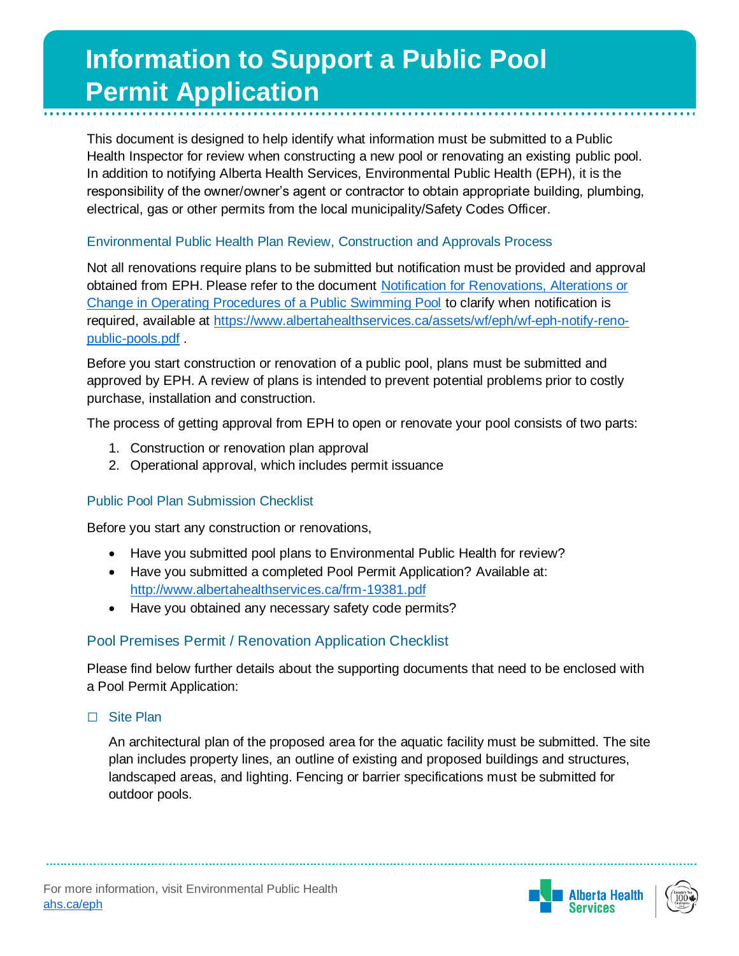# **Information to Support a Public Pool Permit Application**

This document is designed to help identify what information must be submitted to a Public Health Inspector for review when constructing a new pool or renovating an existing public pool. In addition to notifying Alberta Health Services, Environmental Public Health (EPH), it is the responsibility of the owner/owner's agent or contractor to obtain appropriate building, plumbing, electrical, gas or other permits from the local municipality/Safety Codes Officer.

## Environmental Public Health Plan Review, Construction and Approvals Process

Not all renovations require plans to be submitted but notification must be provided and approval obtained from EPH. Please refer to the document [Notification for Renovations, Alterations or](https://www.albertahealthservices.ca/assets/wf/eph/wf-eph-notify-reno-public-pools.pdf)  [Change in Operating Procedures of a Public Swimming Pool](https://www.albertahealthservices.ca/assets/wf/eph/wf-eph-notify-reno-public-pools.pdf) to clarify when notification is required, available at [https://www.albertahealthservices.ca/assets/wf/eph/wf-eph-notify-reno](https://www.albertahealthservices.ca/assets/wf/eph/wf-eph-notify-reno-public-pools.pdf)[public-pools.pdf](https://www.albertahealthservices.ca/assets/wf/eph/wf-eph-notify-reno-public-pools.pdf) .

Before you start construction or renovation of a public pool, plans must be submitted and approved by EPH. A review of plans is intended to prevent potential problems prior to costly purchase, installation and construction.

The process of getting approval from EPH to open or renovate your pool consists of two parts:

- 1. Construction or renovation plan approval
- 2. Operational approval, which includes permit issuance

# Public Pool Plan Submission Checklist

Before you start any construction or renovations,

- Have you submitted pool plans to Environmental Public Health for review?
- Have you submitted a completed Pool Permit Application? Available at: <http://www.albertahealthservices.ca/frm-19381.pdf>
- Have you obtained any necessary safety code permits?

# Pool Premises Permit / Renovation Application Checklist

Please find below further details about the supporting documents that need to be enclosed with a Pool Permit Application:

**□** Site Plan

An architectural plan of the proposed area for the aquatic facility must be submitted. The site plan includes property lines, an outline of existing and proposed buildings and structures, landscaped areas, and lighting. Fencing or barrier specifications must be submitted for outdoor pools.



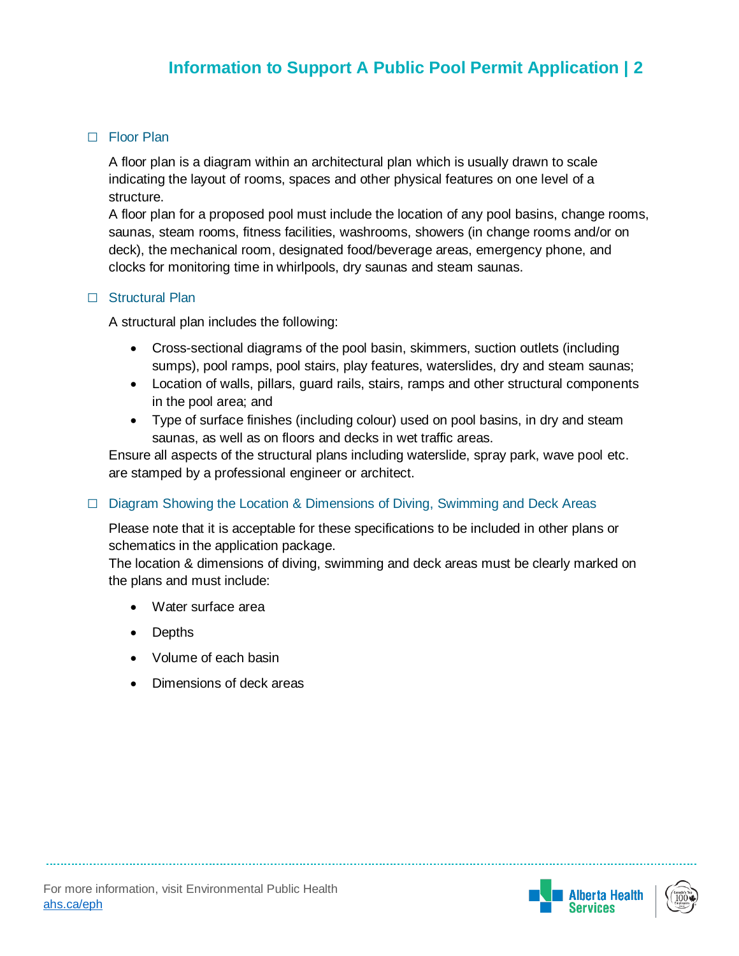# **Information to Support a Pool Permit □** Floor Plan

**Application** A floor plan is a diagram within an architectural plan which is usually drawn to scale indicating the layout of rooms, spaces and other physical features on one level of a structure.

A floor plan for a proposed pool must include the location of any pool basins, change rooms, saunas, steam rooms, fitness facilities, washrooms, showers (in change rooms and/or on deck), the mechanical room, designated food/beverage areas, emergency phone, and clocks for monitoring time in whirlpools, dry saunas and steam saunas.

#### **□** Structural Plan

A structural plan includes the following:

- Cross-sectional diagrams of the pool basin, skimmers, suction outlets (including sumps), pool ramps, pool stairs, play features, waterslides, dry and steam saunas;
- Location of walls, pillars, guard rails, stairs, ramps and other structural components in the pool area; and
- Type of surface finishes (including colour) used on pool basins, in dry and steam saunas, as well as on floors and decks in wet traffic areas.

Ensure all aspects of the structural plans including waterslide, spray park, wave pool etc. are stamped by a professional engineer or architect.

## **□** Diagram Showing the Location & Dimensions of Diving, Swimming and Deck Areas

Please note that it is acceptable for these specifications to be included in other plans or schematics in the application package.

The location & dimensions of diving, swimming and deck areas must be clearly marked on the plans and must include:

- Water surface area
- Depths
- Volume of each basin
- Dimensions of deck areas

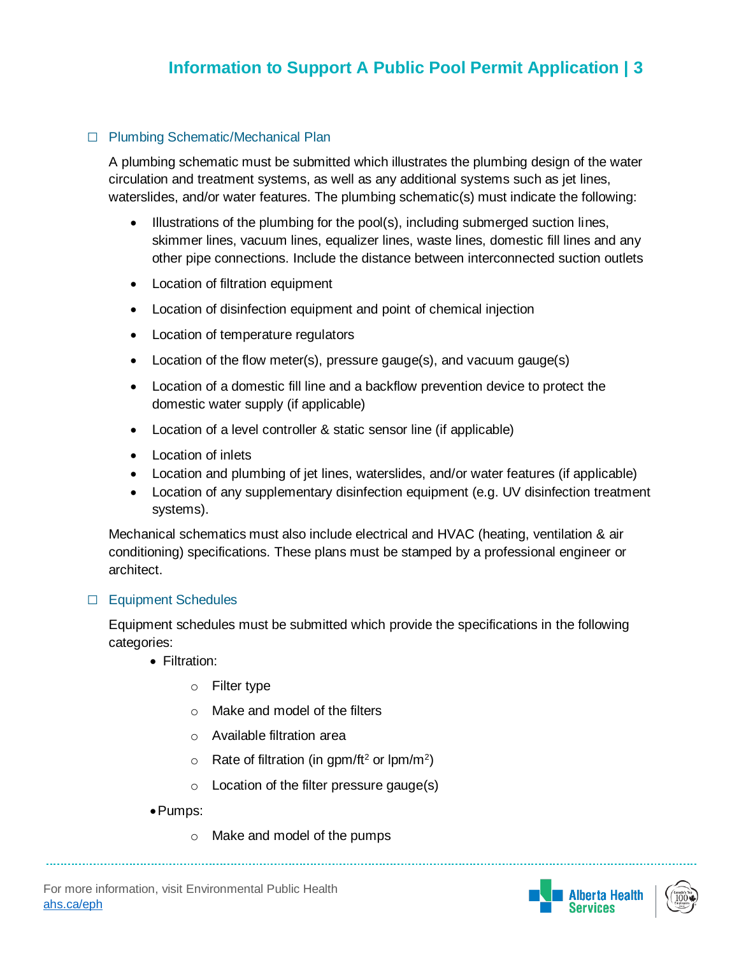# **Ing Cohemation Leapening Plan □** Plumbing Schematic/Mechanical Plan

a<br>A plumbing schematic must be submitted which illustrates the plumbing design of the water circulation and treatment systems, as well as any additional systems such as jet lines, waterslides, and/or water features. The plumbing schematic(s) must indicate the following:

- Illustrations of the plumbing for the pool(s), including submerged suction lines, skimmer lines, vacuum lines, equalizer lines, waste lines, domestic fill lines and any other pipe connections. Include the distance between interconnected suction outlets
- Location of filtration equipment
- Location of disinfection equipment and point of chemical injection
- Location of temperature regulators
- Location of the flow meter(s), pressure gauge(s), and vacuum gauge(s)
- Location of a domestic fill line and a backflow prevention device to protect the domestic water supply (if applicable)
- Location of a level controller & static sensor line (if applicable)
- Location of inlets
- Location and plumbing of jet lines, waterslides, and/or water features (if applicable)
- Location of any supplementary disinfection equipment (e.g. UV disinfection treatment systems).

Mechanical schematics must also include electrical and HVAC (heating, ventilation & air conditioning) specifications. These plans must be stamped by a professional engineer or architect.

#### **□** Equipment Schedules

Equipment schedules must be submitted which provide the specifications in the following categories:

- Filtration:
	- o Filter type
	- o Make and model of the filters
	- o Available filtration area
	- $\circ$  Rate of filtration (in gpm/ft<sup>2</sup> or lpm/m<sup>2</sup>)
	- o Location of the filter pressure gauge(s)
- Pumps:
	- o Make and model of the pumps



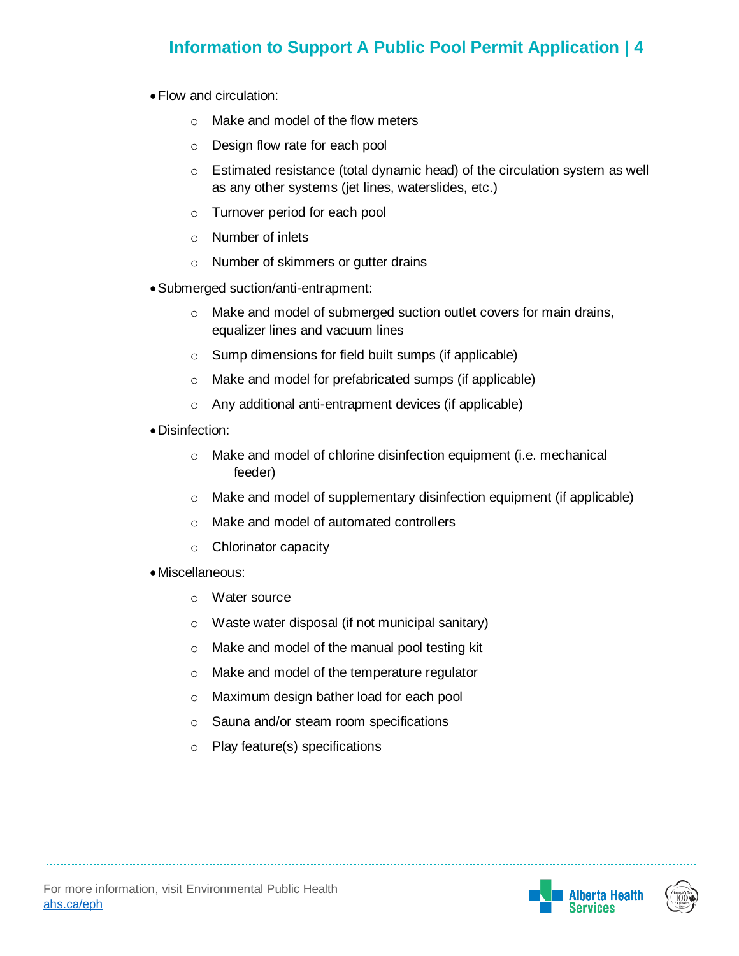# **Information to Support A Public Pool Permit Application | 4**

- Flow and circulation:
	- o Make and model of the flow meters
	- o Design flow rate for each pool
	- o Estimated resistance (total dynamic head) of the circulation system as well as any other systems (jet lines, waterslides, etc.)
	- o Turnover period for each pool
	- o Number of inlets
	- o Number of skimmers or gutter drains
- Submerged suction/anti-entrapment:
	- o Make and model of submerged suction outlet covers for main drains, equalizer lines and vacuum lines
	- o Sump dimensions for field built sumps (if applicable)
	- o Make and model for prefabricated sumps (if applicable)
	- o Any additional anti-entrapment devices (if applicable)
- Disinfection:
	- o Make and model of chlorine disinfection equipment (i.e. mechanical feeder)
	- o Make and model of supplementary disinfection equipment (if applicable)
	- o Make and model of automated controllers
	- o Chlorinator capacity
- Miscellaneous:
	- o Water source
	- o Waste water disposal (if not municipal sanitary)
	- o Make and model of the manual pool testing kit
	- o Make and model of the temperature regulator
	- o Maximum design bather load for each pool
	- o Sauna and/or steam room specifications
	- o Play feature(s) specifications

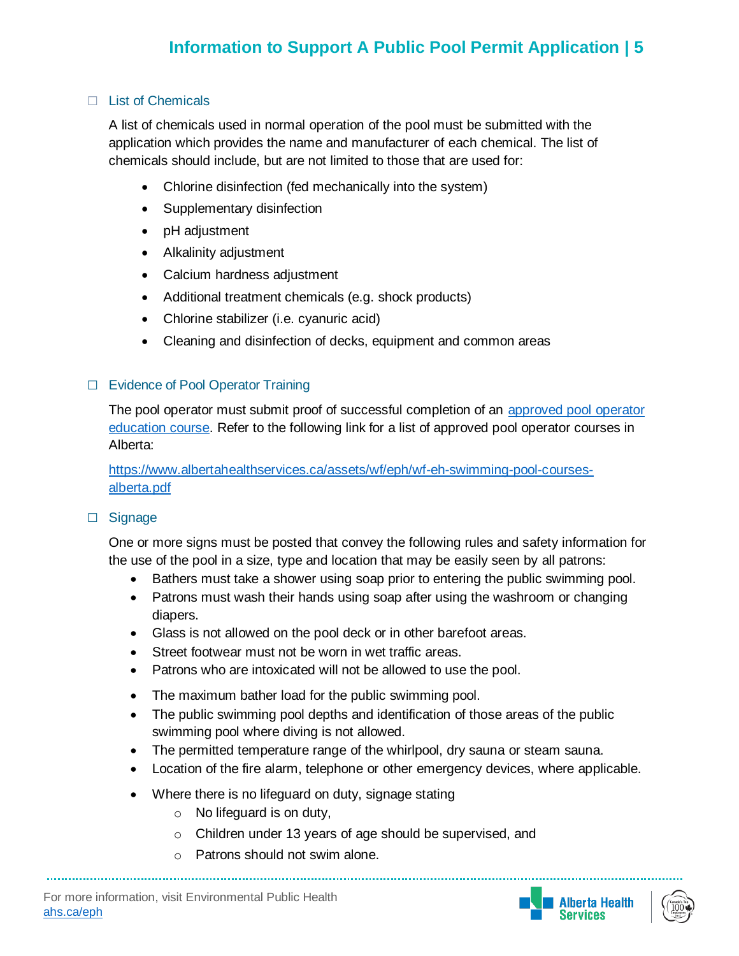## **□** List of Chemicals

A list of chemicals used in normal operation of the pool must be submitted with the application which provides the name and manufacturer of each chemical. The list of chemicals should include, but are not limited to those that are used for:

- Chlorine disinfection (fed mechanically into the system)
- Supplementary disinfection
- pH adjustment
- Alkalinity adjustment
- Calcium hardness adjustment
- Additional treatment chemicals (e.g. shock products)
- Chlorine stabilizer (i.e. cyanuric acid)
- Cleaning and disinfection of decks, equipment and common areas

#### **□** Evidence of Pool Operator Training

The pool operator must submit proof of successful completion of an [approved pool operator](https://www.albertahealthservices.ca/assets/wf/eph/wf-eh-swimming-pool-courses-alberta.pdf)  [education course.](https://www.albertahealthservices.ca/assets/wf/eph/wf-eh-swimming-pool-courses-alberta.pdf) Refer to the following link for a list of approved pool operator courses in Alberta:

[https://www.albertahealthservices.ca/assets/wf/eph/wf-eh-swimming-pool-courses](https://www.albertahealthservices.ca/assets/wf/eph/wf-eh-swimming-pool-courses-alberta.pdf)[alberta.pdf](https://www.albertahealthservices.ca/assets/wf/eph/wf-eh-swimming-pool-courses-alberta.pdf)

#### **□** Signage

One or more signs must be posted that convey the following rules and safety information for the use of the pool in a size, type and location that may be easily seen by all patrons:

- Bathers must take a shower using soap prior to entering the public swimming pool.
- Patrons must wash their hands using soap after using the washroom or changing diapers.
- Glass is not allowed on the pool deck or in other barefoot areas.
- Street footwear must not be worn in wet traffic areas.
- Patrons who are intoxicated will not be allowed to use the pool.
- The maximum bather load for the public swimming pool.
- The public swimming pool depths and identification of those areas of the public swimming pool where diving is not allowed.
- The permitted temperature range of the whirlpool, dry sauna or steam sauna.
- Location of the fire alarm, telephone or other emergency devices, where applicable.
- Where there is no lifeguard on duty, signage stating
	- o No lifeguard is on duty,
	- o Children under 13 years of age should be supervised, and
	- o Patrons should not swim alone.